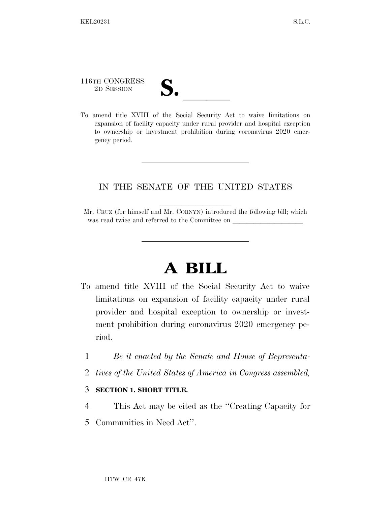116TH CONGRESS 116TH CONGRESS<br>
2D SESSION<br>
To amend title XVIII of the Social Security Act to waive limitations on

expansion of facility capacity under rural provider and hospital exception to ownership or investment prohibition during coronavirus 2020 emergency period.

## IN THE SENATE OF THE UNITED STATES

## **A BILL**

- To amend title XVIII of the Social Security Act to waive limitations on expansion of facility capacity under rural provider and hospital exception to ownership or investment prohibition during coronavirus 2020 emergency period.
	- 1 *Be it enacted by the Senate and House of Representa-*
	- 2 *tives of the United States of America in Congress assembled,*
	- 3 **SECTION 1. SHORT TITLE.**
	- 4 This Act may be cited as the ''Creating Capacity for
	- 5 Communities in Need Act''.

Mr. CRUZ (for himself and Mr. CORNYN) introduced the following bill; which was read twice and referred to the Committee on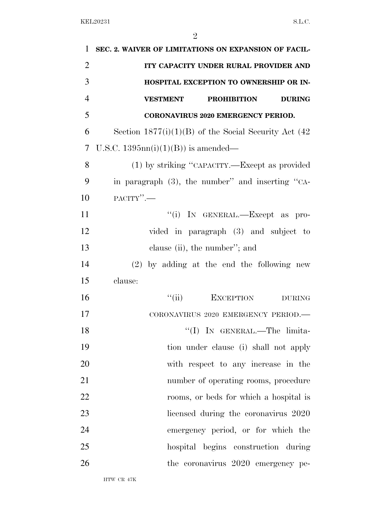| $\mathbf{1}$   | SEC. 2. WAIVER OF LIMITATIONS ON EXPANSION OF FACIL-    |
|----------------|---------------------------------------------------------|
| $\overline{2}$ | ITY CAPACITY UNDER RURAL PROVIDER AND                   |
| 3              | HOSPITAL EXCEPTION TO OWNERSHIP OR IN-                  |
| $\overline{4}$ | <b>VESTMENT</b><br><b>PROHIBITION</b><br><b>DURING</b>  |
| 5              | <b>CORONAVIRUS 2020 EMERGENCY PERIOD.</b>               |
| 6              | Section $1877(i)(1)(B)$ of the Social Security Act (42) |
| 7              | U.S.C. $1395nn(i)(1)(B)$ is amended—                    |
| 8              | (1) by striking "CAPACITY.—Except as provided           |
| 9              | in paragraph $(3)$ , the number" and inserting "CA-     |
| 10             | PACITY".-                                               |
| 11             | "(i) IN GENERAL.—Except as pro-                         |
| 12             | vided in paragraph (3) and subject to                   |
| 13             | clause (ii), the number"; and                           |
| 14             | $(2)$ by adding at the end the following new            |
| 15             | clause:                                                 |
| 16             | ``(ii)<br><b>EXCEPTION</b><br><b>DURING</b>             |
| 17             | CORONAVIRUS 2020 EMERGENCY PERIOD.-                     |
| 18             | "(I) IN GENERAL.—The limita-                            |
| 19             | tion under clause (i) shall not apply                   |
| 20             | with respect to any increase in the                     |
| 21             | number of operating rooms, procedure                    |
| 22             | rooms, or beds for which a hospital is                  |
| 23             | licensed during the coronavirus 2020                    |
| 24             | emergency period, or for which the                      |
| 25             | hospital begins construction during                     |
| 26             | the coronavirus 2020 emergency pe-                      |